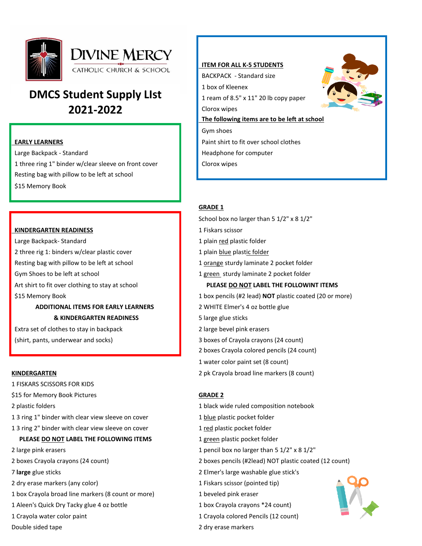

# **DMCS Student Supply LIst 2021-2022**

Large Backpack - Standard **Headphone for computer Headphone for computer** 1 three ring 1" binder w/clear sleeve on front cover Clorox wipes Resting bag with pillow to be left at school \$15 Memory Book

# **KINDERGARTEN READINESS** 1 Fiskars scissor

Large Backpack- Standard 1 plain red plastic folder 2 three rig 1: binders w/clear plastic cover 1 plain blue plastic folder Resting bag with pillow to be left at school 1 orange sturdy laminate 2 pocket folder Gym Shoes to be left at school 1 green sturdy laminate 2 pocket folder

# **ADDITIONAL ITEMS FOR EARLY LEARNERS** 2 WHITE Elmer's 4 oz bottle glue **& KINDERGARTEN READINESS** 5 large glue sticks

Extra set of clothes to stay in backpack 2 large bevel pink erasers (shirt, pants, underwear and socks) 3 boxes of Crayola crayons (24 count)

- 1 FISKARS SCISSORS FOR KIDS
- \$15 for Memory Book Pictures **GRADE 2**
- 
- 1 3 ring 1" binder with clear view sleeve on cover 1 blue plastic pocket folder
- 1 3 ring 2" binder with clear view sleeve on cover 1 red plastic pocket folder

# **PLEASE DO NOT LABEL THE FOLLOWING ITEMS** 1 are 1 green plastic pocket folder

- 
- 
- 
- 2 dry erase markers (any color) 1 Fiskars scissor (pointed tip)
- 1 box Crayola broad line markers (8 count or more) 1 beveled pink eraser
- 1 Aleen's Quick Dry Tacky glue 4 oz bottle 1 box Crayola crayons \*24 count)
- 
- 



# **GRADE 1**

School box no larger than 5 1/2" x 8 1/2"

- 
- 
- 
- 
- 

# Art shirt to fit over clothing to stay at school **PLEASE DO NOT LABEL THE FOLLOWINT ITEMS**

- \$15 Memory Book 1 box pencils (#2 lead) **NOT** plastic coated (20 or more)
	-
	-
	-
	-
	- 2 boxes Crayola colored pencils (24 count)
	- 1 water color paint set (8 count)
- **KINDERGARTEN** 2 pk Crayola broad line markers (8 count)

- 2 plastic folders 1 black wide ruled composition notebook
	-
	-
	-
- 2 large pink erasers 1 pencil box no larger than 5 1/2" x 8 1/2"
- 2 boxes Crayola crayons (24 count) 2 boxes pencils (#2lead) NOT plastic coated (12 count)
- 7 **large** glue sticks 2 Elmer's large washable glue stick's
	-
	-
	-
- 1 Crayola water color paint 1 Crayola colored Pencils (12 count)
- Double sided tape 2 dry erase markers



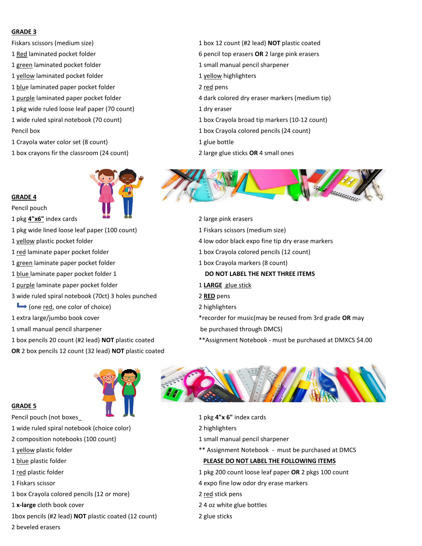### **GRADE 3**

- 
- 
- 1 green laminated pocket folder 1 small manual pencil sharpener
- 1 yellow laminated pocket folder 1 yellow highlighters 1 yellow highlighters
- 1 blue laminated paper pocket folder 2 red pens
- 
- 1 pkg wide ruled loose leaf paper (70 count) 1 dry eraser
- 
- 
- 1 Crayola water color set (8 count) 1 glue bottle
- 1 box crayons fir the classroom (24 count) 2 large glue sticks **OR** 4 small ones



# **GRADE 4**

Pencil pouch

- 1 pkg **4"x6"** index cards 2 large pink erasers
- 1 pkg wide lined loose leaf paper (100 count) 1 Fiskars scissors (medium size)
- 
- 
- 1 green laminate paper pocket folder 1 box Crayola markers (8 count)
- 
- 1 purple laminate paper pocket folder 1 **LARGE** glue stick
- 3 wide ruled spiral notebook (70ct) 3 holes punched 2 **RED** pens
- $\rightarrow$  (one <u>red</u>, one color of choice) 2 highlighters
- 
- 1 small manual pencil sharpener be purchased through DMCS)
- 
- **OR** 2 box pencils 12 count (32 lead) **NOT** plastic coated
- Fiskars scissors (medium size) 1 box 12 count (#2 lead) **NOT** plastic coated
- 1 Red laminated pocket folder 6 pencil top erasers **OR** 2 large pink erasers
	-
	-
	-
- 1 purple laminated paper pocket folder 4 dark colored dry eraser markers (medium tip)
	-
- 1 wide ruled spiral notebook (70 count) 1 box Crayola broad tip markers (10-12 count)
- Pencil box 1 box Crayola colored pencils (24 count)
	-
	-



- 
- 
- 1 yellow plastic pocket folder 4 low odor black expo fine tip dry erase markers
- 1 red laminate paper pocket folder 1 box Crayola colored pencils (12 count)
	-
- 1 blue laminate paper pocket folder 1 **DO NOT LABEL THE NEXT THREE ITEMS**
	-
	-
	-
- 1 extra large/jumbo book cover \*recorder for music(may be reused from 3rd grade **OR** may
	-
- 1 box pencils 20 count (#2 lead) **NOT** plastic coated \*\*Assignment Notebook must be purchased at DMXCS \$4.00





- Pencil pouch (not boxes\_ **1 pkg 4"x 6"** index cards
- 1 wide ruled spiral notebook (choice color) 2 highlighters
- 2 composition notebooks (100 count) 1 small manual pencil sharpener
- 1 yellow plastic folder \*\* Assignment Notebook must be purchased at DMCS

# 1 blue plastic folder **PLEASE DO NOT LABEL THE FOLLOWING ITEMS**

- 1 red plastic folder 1 pkg 200 count loose leaf paper **OR** 2 pkgs 100 count
- 1 Fiskars scissor 4 expo fine low odor dry erase markers
- 1 box Crayola colored pencils (12 or more) 2 red stick pens
- 1 **x-large** cloth book cover 2 4 oz white glue bottles
- 1box pencils (#2 lead) **NOT** plastic coated (12 count) 2 glue sticks
- 2 beveled erasers

**GRADE 5**